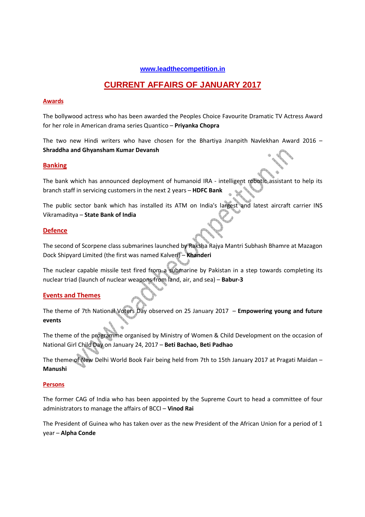# **www.leadthecompetition.in**

# **CURRENT AFFAIRS OF JANUARY 2017**

# **Awards**

The bollywood actress who has been awarded the Peoples Choice Favourite Dramatic TV Actress Award for her role in American drama series Quantico – **Priyanka Chopra**

The two new Hindi writers who have chosen for the Bhartiya Jnanpith Navlekhan Award 2016 – **Shraddha and Ghyansham Kumar Devansh**

# **Banking**

The bank which has announced deployment of humanoid IRA - intelligent robotic assistant to help its branch staff in servicing customers in the next 2 years – **HDFC Bank**

The public sector bank which has installed its ATM on India's largest and latest aircraft carrier INS Vikramaditya – **State Bank of India** 

# **Defence**

The second of Scorpene class submarines launched by Raksha Rajya Mantri Subhash Bhamre at Mazagon Dock Shipyard Limited (the first was named Kalveri) – **Khanderi**

The nuclear capable missile test fired from a submarine by Pakistan in a step towards completing its nuclear triad (launch of nuclear weapons from land, air, and sea) – **Babur-3** 

# **Events and Themes**

The theme of 7th National Voters Day observed on 25 January 2017 – **Empowering young and future events**

The theme of the programme organised by Ministry of Women & Child Development on the occasion of National Girl Child Day on January 24, 2017 – **Beti Bachao, Beti Padhao**

The theme of New Delhi World Book Fair being held from 7th to 15th January 2017 at Pragati Maidan – **Manushi**

# **Persons**

The former CAG of India who has been appointed by the Supreme Court to head a committee of four administrators to manage the affairs of BCCI – **Vinod Rai**

The President of Guinea who has taken over as the new President of the African Union for a period of 1 year – **Alpha Conde**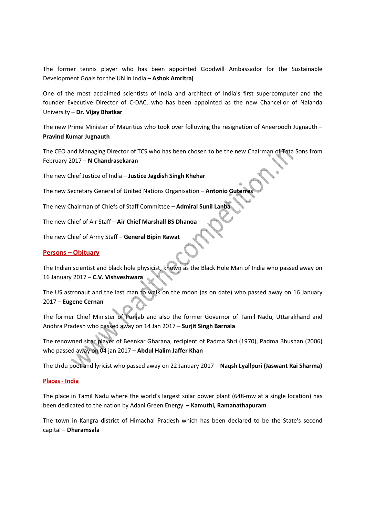The former tennis player who has been appointed Goodwill Ambassador for the Sustainable Development Goals for the UN in India – **Ashok Amritraj** 

One of the most acclaimed scientists of India and architect of India's first supercomputer and the founder Executive Director of C-DAC, who has been appointed as the new Chancellor of Nalanda University – **Dr. Vijay Bhatkar**

The new Prime Minister of Mauritius who took over following the resignation of Aneeroodh Jugnauth – **Pravind Kumar Jugnauth**

The CEO and Managing Director of TCS who has been chosen to be the new Chairman of Tata Sons from February 2017 – **N Chandrasekaran** 

The new Chief Justice of India – **Justice Jagdish Singh Khehar**

The new Secretary General of United Nations Organisation - Antonio Guter

The new Chairman of Chiefs of Staff Committee – **Admiral Sunil Lanba**

The new Chief of Air Staff – **Air Chief Marshall BS Dhanoa**

The new Chief of Army Staff – **General Bipin Rawat** 

#### **Persons – Obituary**

The Indian scientist and black hole physicist, known as the Black Hole Man of India who passed away on 16 January 2017 – **C.V. Vishveshwara**

The US astronaut and the last man to walk on the moon (as on date) who passed away on 16 January 2017 – **Eugene Cernan**

The former Chief Minister of Punjab and also the former Governor of Tamil Nadu, Uttarakhand and Andhra Pradesh who passed away on 14 Jan 2017 – **Surjit Singh Barnala**

The renowned sitar player of Beenkar Gharana, recipient of Padma Shri (1970), Padma Bhushan (2006) who passed away on 04 jan 2017 – **Abdul Halim Jaffer Khan**

The Urdu poet and lyricist who passed away on 22 January 2017 – **Naqsh Lyallpuri (Jaswant Rai Sharma)**

#### **Places - India**

The place in Tamil Nadu where the world's largest solar power plant (648-mw at a single location) has been dedicated to the nation by Adani Green Energy – **Kamuthi, Ramanathapuram** 

The town in Kangra district of Himachal Pradesh which has been declared to be the State's second capital – **Dharamsala**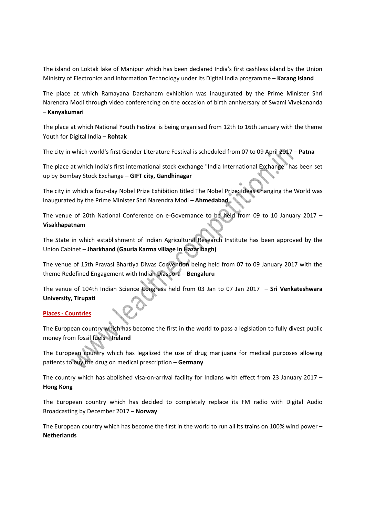The island on Loktak lake of Manipur which has been declared India's first cashless island by the Union Ministry of Electronics and Information Technology under its Digital India programme – **Karang island**

The place at which Ramayana Darshanam exhibition was inaugurated by the Prime Minister Shri Narendra Modi through video conferencing on the occasion of birth anniversary of Swami Vivekananda – **Kanyakumari**

The place at which National Youth Festival is being organised from 12th to 16th January with the theme Youth for Digital India – **Rohtak**

The city in which world's first Gender Literature Festival is scheduled from 07 to 09 April 2017 – **Patna**

The place at which India's first international stock exchange "India International Exchange" has been set up by Bombay Stock Exchange – **GIFT city, Gandhinagar**

The city in which a four-day Nobel Prize Exhibition titled The Nobel Prize: Ideas Changing the World was inaugurated by the Prime Minister Shri Narendra Modi – **Ahmedabad**

The venue of 20th National Conference on e-Governance to be held from 09 to 10 January 2017 – **Visakhapatnam**

The State in which establishment of Indian Agricultural Research Institute has been approved by the Union Cabinet – **Jharkhand (Gauria Karma village in Hazaribagh)**

The venue of 15th Pravasi Bhartiya Diwas Convention being held from 07 to 09 January 2017 with the theme Redefined Engagement with Indian Diaspora – **Bengaluru**

The venue of 104th Indian Science Congress held from 03 Jan to 07 Jan 2017 – **Sri Venkateshwara University, Tirupati** 

# **Places - Countries**

The European country which has become the first in the world to pass a legislation to fully divest public money from fossil fuels – **Ireland**

The European country which has legalized the use of drug marijuana for medical purposes allowing patients to buy the drug on medical prescription – **Germany**

The country which has abolished visa-on-arrival facility for Indians with effect from 23 January 2017 – **Hong Kong**

The European country which has decided to completely replace its FM radio with Digital Audio Broadcasting by December 2017 – **Norway**

The European country which has become the first in the world to run all its trains on 100% wind power – **Netherlands**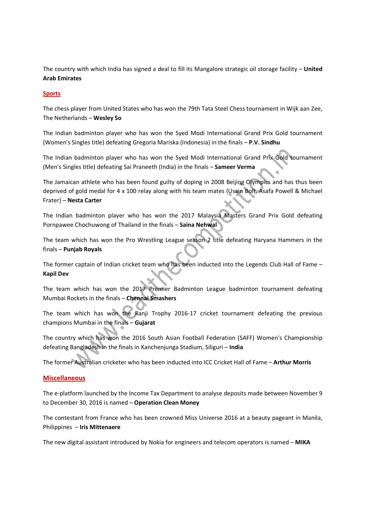The country with which India has signed a deal to fill its Mangalore strategic oil storage facility – **United Arab Emirates** 

# **Sports**

The chess player from United States who has won the 79th Tata Steel Chess tournament in Wijk aan Zee, The Netherlands – **Wesley So**

The Indian badminton player who has won the Syed Modi International Grand Prix Gold tournament (Women's Singles title) defeating Gregoria Mariska (Indonesia) in the finals – **P.V. Sindhu** 

The Indian badminton player who has won the Syed Modi International Grand Prix Gold tournament (Men's Singles title) defeating Sai Praneeth (India) in the finals – **Sameer Verma** 

The Jamaican athlete who has been found guilty of doping in 2008 Beijing Olympics and has thus been deprived of gold medal for 4 x 100 relay along with his team mates (Usain Bolt, Asafa Powell & Michael Frater) – **Nesta Carter**

The Indian badminton player who has won the 2017 Malaysia Masters Grand Prix Gold defeating Pornpawee Chochuwong of Thailand in the finals – **Saina Nehwal**

The team which has won the Pro Wrestling League season 2 title defeating Haryana Hammers in the finals – **Punjab Royals**

The former captain of Indian cricket team who has been inducted into the Legends Club Hall of Fame -**Kapil Dev**

The team which has won the 2017 Premier Badminton League badminton tournament defeating Mumbai Rockets in the finals – **Chennai Smashers**

The team which has won the Ranji Trophy 2016-17 cricket tournament defeating the previous champions Mumbai in the finals – **Gujarat**

The country which has won the 2016 South Asian Football Federation (SAFF) Women's Championship defeating Bangladesh in the finals in Kanchenjunga Stadium, Siliguri – **India**

The former Australian cricketer who has been inducted into ICC Cricket Hall of Fame – **Arthur Morris**

# **Miscellaneous**

The e-platform launched by the Income Tax Department to analyse deposits made between November 9 to December 30, 2016 is named – **Operation Clean Money**

The contestant from France who has been crowned Miss Universe 2016 at a beauty pageant in Manila, Philippines – **Iris Mittenaere**

The new digital assistant introduced by Nokia for engineers and telecom operators is named – **MIKA**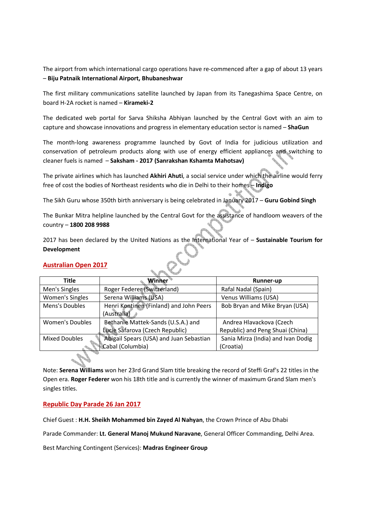The airport from which international cargo operations have re-commenced after a gap of about 13 years – **Biju Patnaik International Airport, Bhubaneshwar**

The first military communications satellite launched by Japan from its Tanegashima Space Centre, on board H-2A rocket is named – **Kirameki-2**

The dedicated web portal for Sarva Shiksha Abhiyan launched by the Central Govt with an aim to capture and showcase innovations and progress in elementary education sector is named – **ShaGun**

The month-long awareness programme launched by Govt of India for judicious utilization and conservation of petroleum products along with use of energy efficient appliances and switching to cleaner fuels is named – **Saksham - 2017 (Sanrakshan Kshamta Mahotsav)**

The private airlines which has launched **Akhiri Ahuti**, a social service under which the airline would ferry free of cost the bodies of Northeast residents who die in Delhi to their homes – **Indigo** 

Ħ

The Sikh Guru whose 350th birth anniversary is being celebrated in January 2017 – **Guru Gobind Singh**

The Bunkar Mitra helpline launched by the Central Govt for the assistance of handloom weavers of the country – **1800 208 9988**

2017 has been declared by the United Nations as the International Year of – **Sustainable Tourism for Development**

# **Australian Open 2017**

| Title                  | <b>Winner</b>                           | Runner-up                          |
|------------------------|-----------------------------------------|------------------------------------|
| Men's Singles          | Roger Federer (Switzerland)             | Rafal Nadal (Spain)                |
| Women's Singles        | Serena Williams (USA)                   | Venus Williams (USA)               |
| Mens's Doubles         | Henri Kontinen (Finland) and John Peers | Bob Bryan and Mike Bryan (USA)     |
|                        | (Australia)                             |                                    |
| <b>Women's Doubles</b> | Bethanie Mattek-Sands (U.S.A.) and      | Andrea Hlavackova (Czech           |
|                        | Lucie Safarova (Czech Republic)         | Republic) and Peng Shuai (China)   |
| <b>Mixed Doubles</b>   | Abigail Spears (USA) and Juan Sebastian | Sania Mirza (India) and Ivan Dodig |
|                        | Cabal (Columbia)                        | (Croatia)                          |

Note: **Serena Williams** won her 23rd Grand Slam title breaking the record of Steffi Graf's 22 titles in the Open era. **Roger Federer** won his 18th title and is currently the winner of maximum Grand Slam men's singles titles.

# **Republic Day Parade 26 Jan 2017**

Chief Guest : **H.H. Sheikh Mohammed bin Zayed Al Nahyan**, the Crown Prince of Abu Dhabi

Parade Commander: **Lt. General Manoj Mukund Naravane**, General Officer Commanding, Delhi Area.

Best Marching Contingent (Services): **Madras Engineer Group**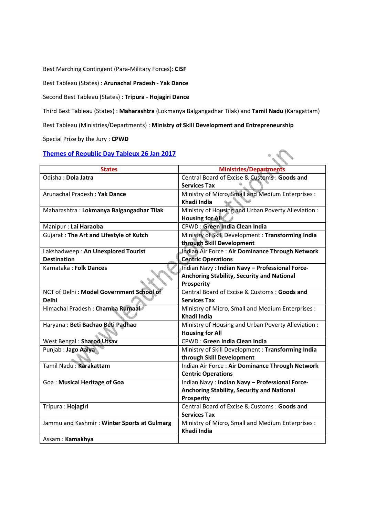Best Marching Contingent (Para-Military Forces): **CISF**

Best Tableau (States) : **Arunachal Pradesh** - **Yak Dance**

Second Best Tableau (States) : **Tripura** - **Hojagiri Dance**

Third Best Tableau (States) : **Maharashtra** (Lokmanya Balgangadhar Tilak) and **Tamil Nadu** (Karagattam)

 $\cdot$ 

Best Tableau (Ministries/Departments) : **Ministry of Skill Development and Entrepreneurship**

Special Prize by the Jury : **CPWD**

# **Themes of Republic Day Tableux 26 Jan 2017**

| <b>States</b>                               | <b>Ministries/Departments</b>                       |
|---------------------------------------------|-----------------------------------------------------|
| Odisha: Dola Jatra                          | Central Board of Excise & Customs: Goods and        |
|                                             | <b>Services Tax</b>                                 |
| Arunachal Pradesh: Yak Dance                | Ministry of Micro, Small and Medium Enterprises :   |
|                                             | Khadi India                                         |
| Maharashtra: Lokmanya Balgangadhar Tilak    | Ministry of Housing and Urban Poverty Alleviation:  |
|                                             | <b>Housing for All</b>                              |
| Manipur: Lai Haraoba                        | <b>CPWD: Green India Clean India</b>                |
| Gujarat: The Art and Lifestyle of Kutch     | Ministry of Skill Development: Transforming India   |
|                                             | through Skill Development                           |
| Lakshadweep: An Unexplored Tourist          | Indian Air Force: Air Dominance Through Network     |
| <b>Destination</b>                          | <b>Centric Operations</b>                           |
| Karnataka: Folk Dances                      | Indian Navy: Indian Navy - Professional Force-      |
|                                             | <b>Anchoring Stability, Security and National</b>   |
|                                             | Prosperity                                          |
| NCT of Delhi: Model Government School of    | Central Board of Excise & Customs: Goods and        |
| <b>Delhi</b>                                | <b>Services Tax</b>                                 |
| Himachal Pradesh: Chamba Rumaal             | Ministry of Micro, Small and Medium Enterprises :   |
|                                             | Khadi India                                         |
| Haryana: Beti Bachao Beti Padhao            | Ministry of Housing and Urban Poverty Alleviation : |
|                                             | <b>Housing for All</b>                              |
| West Bengal: Sharod Utsav                   | <b>CPWD: Green India Clean India</b>                |
| Punjab: Jago Aaiya                          | Ministry of Skill Development: Transforming India   |
|                                             | through Skill Development                           |
| Tamil Nadu: Karakattam                      | Indian Air Force: Air Dominance Through Network     |
|                                             | <b>Centric Operations</b>                           |
| Goa: Musical Heritage of Goa                | Indian Navy: Indian Navy - Professional Force-      |
|                                             | <b>Anchoring Stability, Security and National</b>   |
|                                             | Prosperity                                          |
| Tripura : Hojagiri                          | Central Board of Excise & Customs: Goods and        |
|                                             | <b>Services Tax</b>                                 |
| Jammu and Kashmir: Winter Sports at Gulmarg | Ministry of Micro, Small and Medium Enterprises :   |
|                                             | Khadi India                                         |
| Assam: Kamakhva                             |                                                     |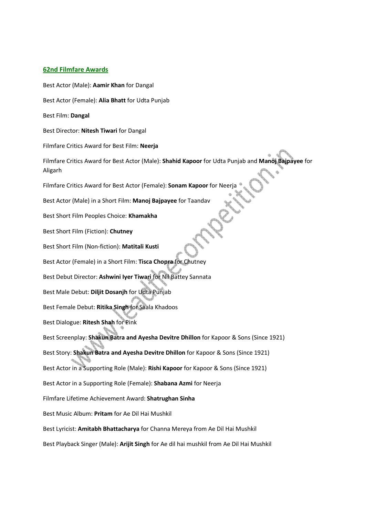# **62nd Filmfare Awards**

Best Actor (Male): **Aamir Khan** for Dangal Best Actor (Female): **Alia Bhatt** for Udta Punjab Best Film: **Dangal** Best Director: **Nitesh Tiwari** for Dangal Filmfare Critics Award for Best Film: **Neerja** Filmfare Critics Award for Best Actor (Male): **Shahid Kapoor** for Udta Punjab and **Manoj Bajpayee** for Aligarh Filmfare Critics Award for Best Actor (Female): **Sonam Kapoor** for Neerja Best Actor (Male) in a Short Film: **Manoj Bajpayee** for Taandav Best Short Film Peoples Choice: **Khamakha** Best Short Film (Fiction): **Chutney** Best Short Film (Non-fiction): **Matitali Kusti** Best Actor (Female) in a Short Film: **Tisca Chopra** for Chutney Best Debut Director: **Ashwini Iyer Tiwari** for Nil Battey Sannata Best Male Debut: **Diljit Dosanjh** for Udta Punjab Best Female Debut: **Ritika Singh** for Saala Khadoos Best Dialogue: **Ritesh Shah** for Pink Best Screenplay: **Shakun Batra and Ayesha Devitre Dhillon** for Kapoor & Sons (Since 1921) Best Story: **Shakun Batra and Ayesha Devitre Dhillon** for Kapoor & Sons (Since 1921) Best Actor in a Supporting Role (Male): **Rishi Kapoor** for Kapoor & Sons (Since 1921) Best Actor in a Supporting Role (Female): **Shabana Azmi** for Neerja Filmfare Lifetime Achievement Award: **Shatrughan Sinha** Best Music Album: **Pritam** for Ae Dil Hai Mushkil Best Lyricist: **Amitabh Bhattacharya** for Channa Mereya from Ae Dil Hai Mushkil Best Playback Singer (Male): **Arijit Singh** for Ae dil hai mushkil from Ae Dil Hai Mushkil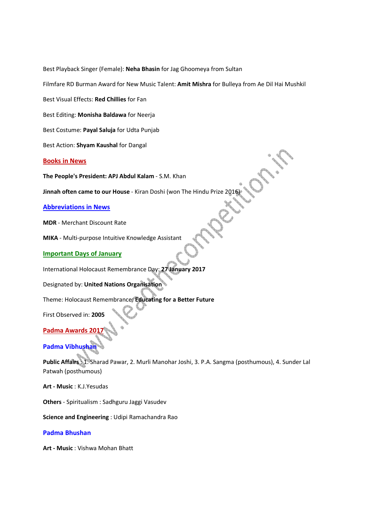Best Playback Singer (Female): **Neha Bhasin** for Jag Ghoomeya from Sultan

Filmfare RD Burman Award for New Music Talent: **Amit Mishra** for Bulleya from Ae Dil Hai Mushkil

Best Visual Effects: **Red Chillies** for Fan

Best Editing: **Monisha Baldawa** for Neerja

Best Costume: **Payal Saluja** for Udta Punjab

Best Action: **Shyam Kaushal** for Dangal

# **Books in News**

**The People's President: APJ Abdul Kalam** - S.M. Khan

**Jinnah often came to our House** - Kiran Doshi (won The Hindu Prize 2016)

**Abbreviations in News**

**MDR** - Merchant Discount Rate

**MIKA** - Multi-purpose Intuitive Knowledge Assistant

#### **Important Days of January**

International Holocaust Remembrance Day: **27 January 2017** 

Designated by: **United Nations Organisation** 

Theme: Holocaust Remembrance: **Educating for a Better Future**

First Observed in: **2005**

# **Padma Awards 201**

# **Padma Vibhushan**

**Public Affairs** : 1. Sharad Pawar, 2. Murli Manohar Joshi, 3. P.A. Sangma (posthumous), 4. Sunder Lal Patwah (posthumous)

**Art - Music** : K.J.Yesudas

**Others** - Spiritualism : Sadhguru Jaggi Vasudev

**Science and Engineering** : Udipi Ramachandra Rao

# **Padma Bhushan**

**Art - Music** : Vishwa Mohan Bhatt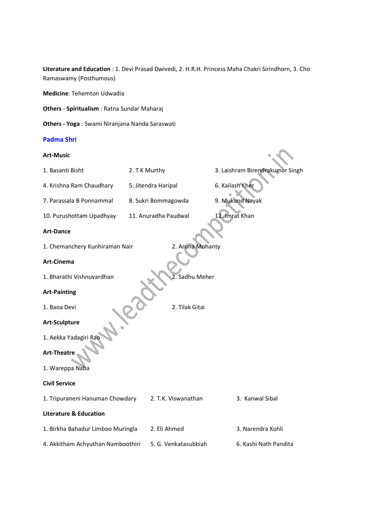**Literature and Education** : 1. Devi Prasad Dwivedi, 2. H.R.H. Princess Maha Chakri Sirindhorn, 3. Cho Ramaswamy (Posthumous)

**Medicine**: Tehemton Udwadia

**Others** - **Spiritualism** : Ratna Sundar Maharaj

**Others - Yoga** : Swami Niranjana Nanda Saraswati

### **Padma Shri**

**Art-Music**  1. Basanti Bisht 2. T K Murthy 3. Laishram Birendrakumar Singh 4. Krishna Ram Chaudhary 5. Jitendra Haripal 6. Kailash Kher 7. Parassala B Ponnammal 8. Sukri Bommagowda 9. Mukund Nayak 10. Purushottam Upadhyay 11. Anuradha Paudwal 12. Imrat Khan **Art-Dance**  1. Chemanchery Kunhiraman Nair **2. Aruna Mohanty Art-Cinema**  1. Bharathi Vishnuvardhan 2. Sadhu Meher **Art-Painting**  1. Baoa Devi 2. Tilak Gitai **Art-Sculpture**  1. Aekka Yadagiri **Art-Theatre**  1. Wareppa Naba **Civil Service**  1. Tripuraneni Hanuman Chowdary 2. T.K. Viswanathan 3. Kanwal Sibal **Literature & Education**  1. Birkha Bahadur Limboo Muringla 2. Eli Ahmed 3. Narendra Kohli 4. Akkitham Achyuthan Namboothiri 5. G. Venkatasubbiah 6. Kashi Nath Pandita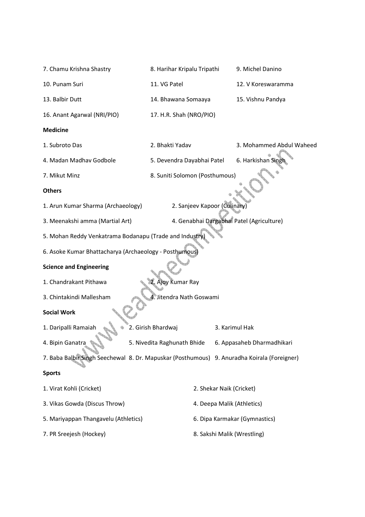| 7. Chamu Krishna Shastry                                                                    | 8. Harihar Kripalu Tripathi    | 9. Michel Danino                          |  |  |
|---------------------------------------------------------------------------------------------|--------------------------------|-------------------------------------------|--|--|
| 10. Punam Suri                                                                              | 11. VG Patel                   | 12. V Koreswaramma                        |  |  |
| 13. Balbir Dutt                                                                             | 14. Bhawana Somaaya            | 15. Vishnu Pandya                         |  |  |
| 16. Anant Agarwal (NRI/PIO)                                                                 | 17. H.R. Shah (NRO/PIO)        |                                           |  |  |
| <b>Medicine</b>                                                                             |                                |                                           |  |  |
| 1. Subroto Das                                                                              | 2. Bhakti Yadav                | 3. Mohammed Abdul Waheed                  |  |  |
| 4. Madan Madhav Godbole                                                                     | 5. Devendra Dayabhai Patel     | 6. Harkishan Sing                         |  |  |
| 7. Mikut Minz                                                                               | 8. Suniti Solomon (Posthumous) |                                           |  |  |
| <b>Others</b>                                                                               |                                |                                           |  |  |
| 1. Arun Kumar Sharma (Archaeology)                                                          | 2. Sanjeev Kapoor (Culinary)   |                                           |  |  |
| 3. Meenakshi amma (Martial Art)                                                             |                                | 4. Genabhai Dargabhai Patel (Agriculture) |  |  |
| 5. Mohan Reddy Venkatrama Bodanapu (Trade and Industry                                      |                                |                                           |  |  |
| 6. Asoke Kumar Bhattacharya (Archaeology - Posthumous)                                      |                                |                                           |  |  |
| <b>Science and Engineering</b>                                                              |                                |                                           |  |  |
| 1. Chandrakant Pithawa                                                                      | 2. Ajoy Kumar Ray              |                                           |  |  |
| 4. Jitendra Nath Goswami<br>3. Chintakindi Mallesham                                        |                                |                                           |  |  |
| <b>Social Work</b>                                                                          |                                |                                           |  |  |
| 1. Daripalli Ramaiah                                                                        | 2. Girish Bhardwaj             | 3. Karimul Hak                            |  |  |
| 4. Bipin Ganatra                                                                            | 5. Nivedita Raghunath Bhide    | 6. Appasaheb Dharmadhikari                |  |  |
| 7. Baba Balbir Singh Seechewal 8. Dr. Mapuskar (Posthumous) 9. Anuradha Koirala (Foreigner) |                                |                                           |  |  |
| <b>Sports</b>                                                                               |                                |                                           |  |  |
| 1. Virat Kohli (Cricket)                                                                    |                                | 2. Shekar Naik (Cricket)                  |  |  |
| 3. Vikas Gowda (Discus Throw)                                                               |                                | 4. Deepa Malik (Athletics)                |  |  |
| 5. Mariyappan Thangavelu (Athletics)                                                        |                                | 6. Dipa Karmakar (Gymnastics)             |  |  |
| 7. PR Sreejesh (Hockey)                                                                     |                                | 8. Sakshi Malik (Wrestling)               |  |  |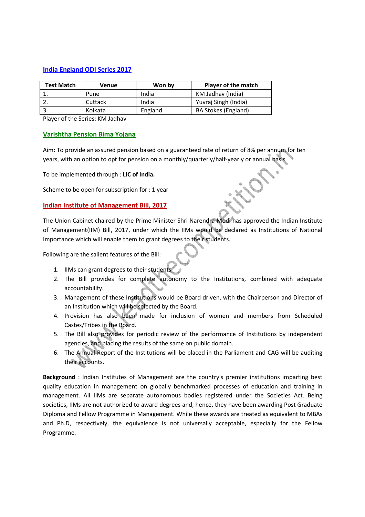# **India England ODI Series 2017**

| <b>Test Match</b> | Venue   | Won by  | <b>Player of the match</b> |
|-------------------|---------|---------|----------------------------|
|                   | Pune    | India   | KM Jadhav (India)          |
|                   | Cuttack | India   | Yuvraj Singh (India)       |
|                   | Kolkata | England | <b>BA Stokes (England)</b> |

Player of the Series: KM Jadhav

# **Varishtha Pension Bima Yojana**

Aim: To provide an assured pension based on a guaranteed rate of return of 8% per annum for ten years, with an option to opt for pension on a monthly/quarterly/half-yearly or annual basis

To be implemented through : **LIC of India.**

Scheme to be open for subscription for : 1 year

# **Indian Institute of Management Bill, 2017**

The Union Cabinet chaired by the Prime Minister Shri Narendra Modi has approved the Indian Institute of Management(IIM) Bill, 2017, under which the IIMs would be declared as Institutions of National Importance which will enable them to grant degrees to their students.

Following are the salient features of the Bill:

- 1. IIMs can grant degrees to their students
- 2. The Bill provides for complete autonomy to the Institutions, combined with adequate accountability.
- 3. Management of these Institutions would be Board driven, with the Chairperson and Director of an Institution which will be selected by the Board.
- 4. Provision has also been made for inclusion of women and members from Scheduled Castes/Tribes in the Board.
- 5. The Bill also provides for periodic review of the performance of Institutions by independent agencies, and placing the results of the same on public domain.
- 6. The Annual Report of the Institutions will be placed in the Parliament and CAG will be auditing their accounts.

**Background** : Indian Institutes of Management are the country's premier institutions imparting best quality education in management on globally benchmarked processes of education and training in management. All IIMs are separate autonomous bodies registered under the Societies Act. Being societies, IIMs are not authorized to award degrees and, hence, they have been awarding Post Graduate Diploma and Fellow Programme in Management. While these awards are treated as equivalent to MBAs and Ph.D, respectively, the equivalence is not universally acceptable, especially for the Fellow Programme.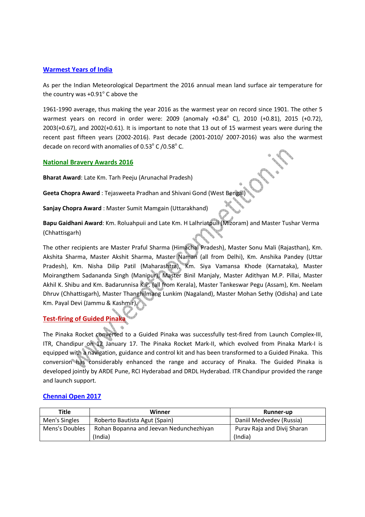# **Warmest Years of India**

As per the Indian Meteorological Department the 2016 annual mean land surface air temperature for the country was  $+0.91^\circ$  C above the

1961-1990 average, thus making the year 2016 as the warmest year on record since 1901. The other 5 warmest years on record in order were: 2009 (anomaly  $+0.84^{\circ}$  C), 2010  $(+0.81)$ , 2015  $(+0.72)$ , 2003(+0.67), and 2002(+0.61). It is important to note that 13 out of 15 warmest years were during the recent past fifteen years (2002-2016). Past decade (2001-2010/ 2007-2016) was also the warmest decade on record with anomalies of  $0.53^{\circ}$  C /0.58 $^{\circ}$  C.

# **National Bravery Awards 2016**

**Bharat Award**: Late Km. Tarh Peeju (Arunachal Pradesh)

**Geeta Chopra Award** : Tejasweeta Pradhan and Shivani Gond (West Bengal)

**Sanjay Chopra Award** : Master Sumit Mamgain (Uttarakhand)

**Bapu Gaidhani Award**: Km. Roluahpuii and Late Km. H Lalhriatpuii (Mizoram) and Master Tushar Verma (Chhattisgarh)

The other recipients are Master Praful Sharma (Himachal Pradesh), Master Sonu Mali (Rajasthan), Km. Akshita Sharma, Master Akshit Sharma, Master Naman (all from Delhi), Km. Anshika Pandey (Uttar Pradesh), Km. Nisha Dilip Patil (Maharashtra), Km. Siya Vamansa Khode (Karnataka), Master Moirangthem Sadananda Singh (Manipur), Master Binil Manjaly, Master Adithyan M.P. Pillai, Master Akhil K. Shibu and Km. Badarunnisa K.P. (all from Kerala), Master Tankeswar Pegu (Assam), Km. Neelam Dhruv (Chhattisgarh), Master Thanghilmang Lunkim (Nagaland), Master Mohan Sethy (Odisha) and Late Km. Payal Devi (Jammu & Kashmir).

# **Test-firing of Guided Pinaka**

The Pinaka Rocket converted to a Guided Pinaka was successfully test-fired from Launch Complex-III, ITR, Chandipur on 12 January 17. The Pinaka Rocket Mark-II, which evolved from Pinaka Mark-I is equipped with a navigation, guidance and control kit and has been transformed to a Guided Pinaka. This conversion has considerably enhanced the range and accuracy of Pinaka. The Guided Pinaka is developed jointly by ARDE Pune, RCI Hyderabad and DRDL Hyderabad. ITR Chandipur provided the range and launch support.

| Title          | Winner                                  | Runner-up                   |
|----------------|-----------------------------------------|-----------------------------|
| Men's Singles  | Roberto Bautista Agut (Spain)           | Daniil Medvedev (Russia)    |
| Mens's Doubles | Rohan Bopanna and Jeevan Nedunchezhiyan | Purav Raja and Divij Sharan |
|                | (India)                                 | (India)                     |

# **Chennai Open 2017**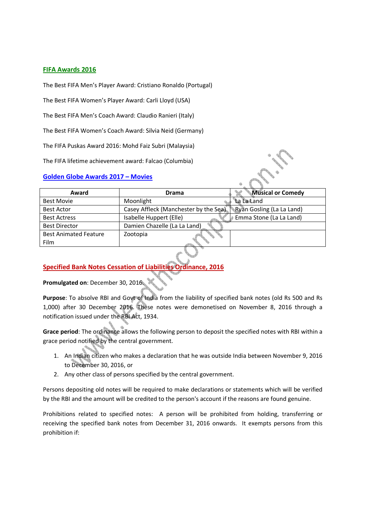# **FIFA Awards 2016**

The Best FIFA Men's Player Award: Cristiano Ronaldo (Portugal)

The Best FIFA Women's Player Award: Carli Lloyd (USA)

The Best FIFA Men's Coach Award: Claudio Ranieri (Italy)

The Best FIFA Women's Coach Award: Silvia Neid (Germany)

The FIFA Puskas Award 2016: Mohd Faiz Subri (Malaysia)

The FIFA lifetime achievement award: Falcao (Columbia)

# **Golden Globe Awards 2017 – Movies**

| <b>Drama</b>                          | <b>Musical or Comedy</b>  |
|---------------------------------------|---------------------------|
| Moonlight                             | La La Land                |
| Casey Affleck (Manchester by the Sea) | Ryan Gosling (La La Land) |
| Isabelle Huppert (Elle)               | Emma Stone (La La Land)   |
| Damien Chazelle (La La Land)          |                           |
| Zootopia                              |                           |
|                                       |                           |
|                                       |                           |

# **Specified Bank Notes Cessation of Liabilities Ordinance, 2016**

**Promulgated on**: December 30, 2016.

**Purpose**: To absolve RBI and Govt of India from the liability of specified bank notes (old Rs 500 and Rs 1,000) after 30 December 2016. These notes were demonetised on November 8, 2016 through a notification issued under the RBI Act, 1934.

**Grace period**: The ordinance allows the following person to deposit the specified notes with RBI within a grace period notified by the central government.

- 1. An Indian citizen who makes a declaration that he was outside India between November 9, 2016 to December 30, 2016, or
- 2. Any other class of persons specified by the central government.

Persons depositing old notes will be required to make declarations or statements which will be verified by the RBI and the amount will be credited to the person's account if the reasons are found genuine.

Prohibitions related to specified notes: A person will be prohibited from holding, transferring or receiving the specified bank notes from December 31, 2016 onwards. It exempts persons from this prohibition if: